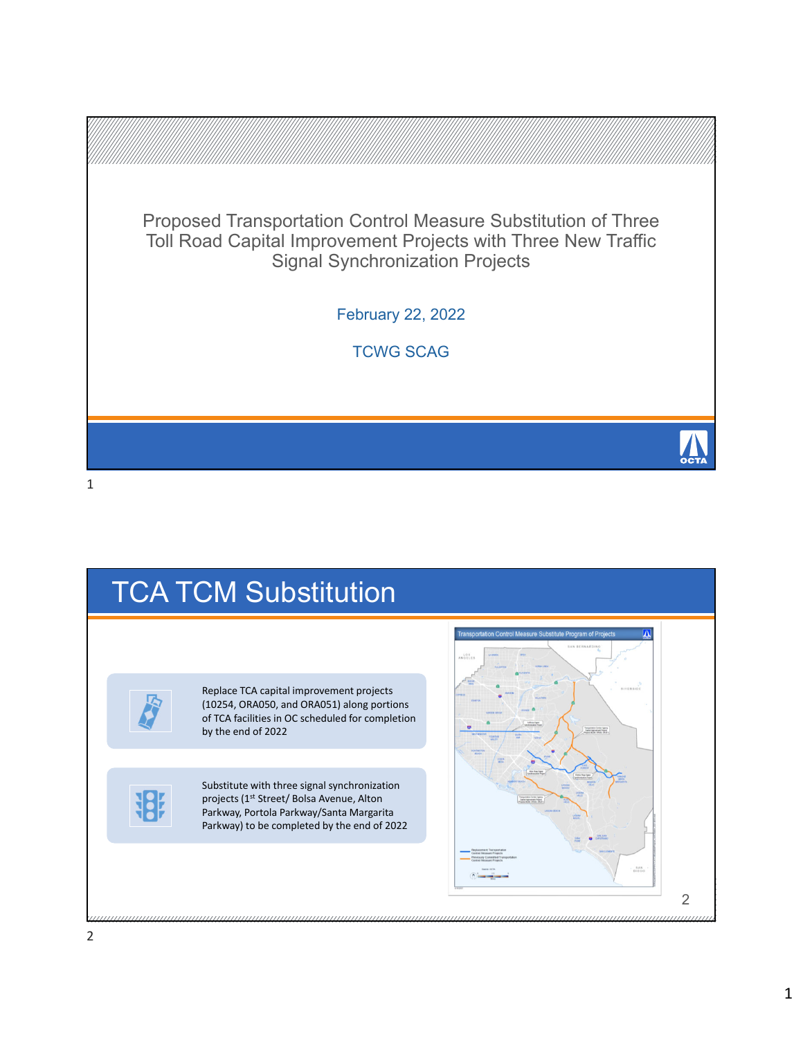

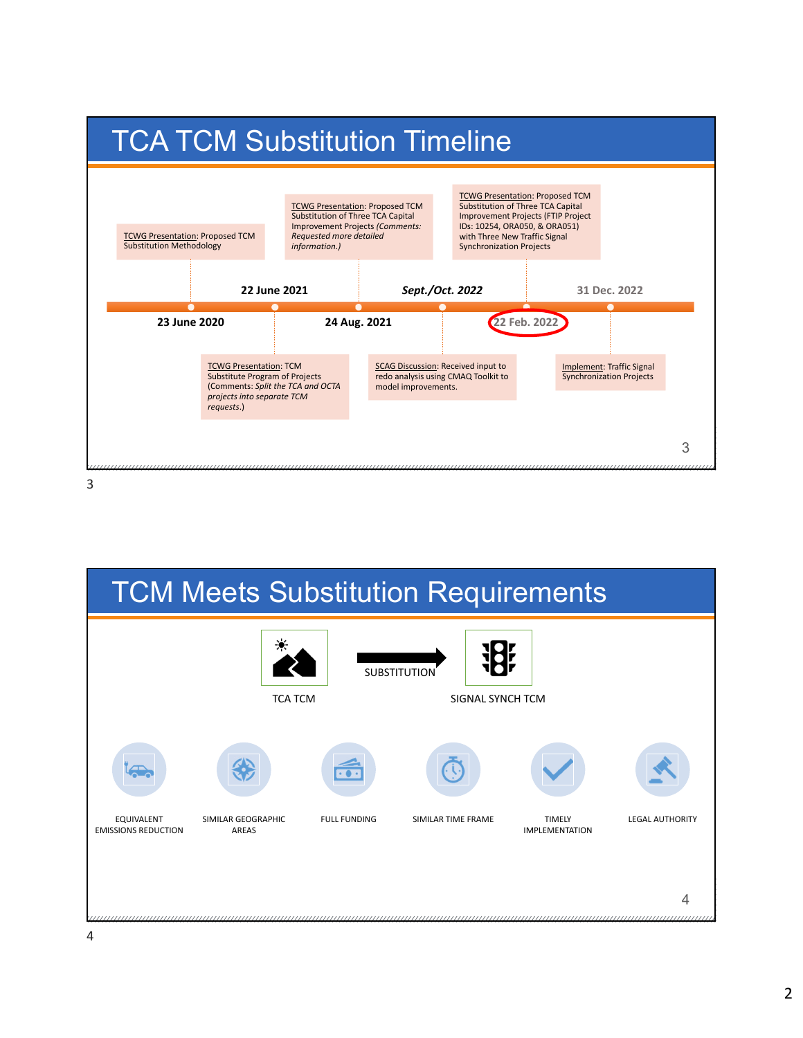



3

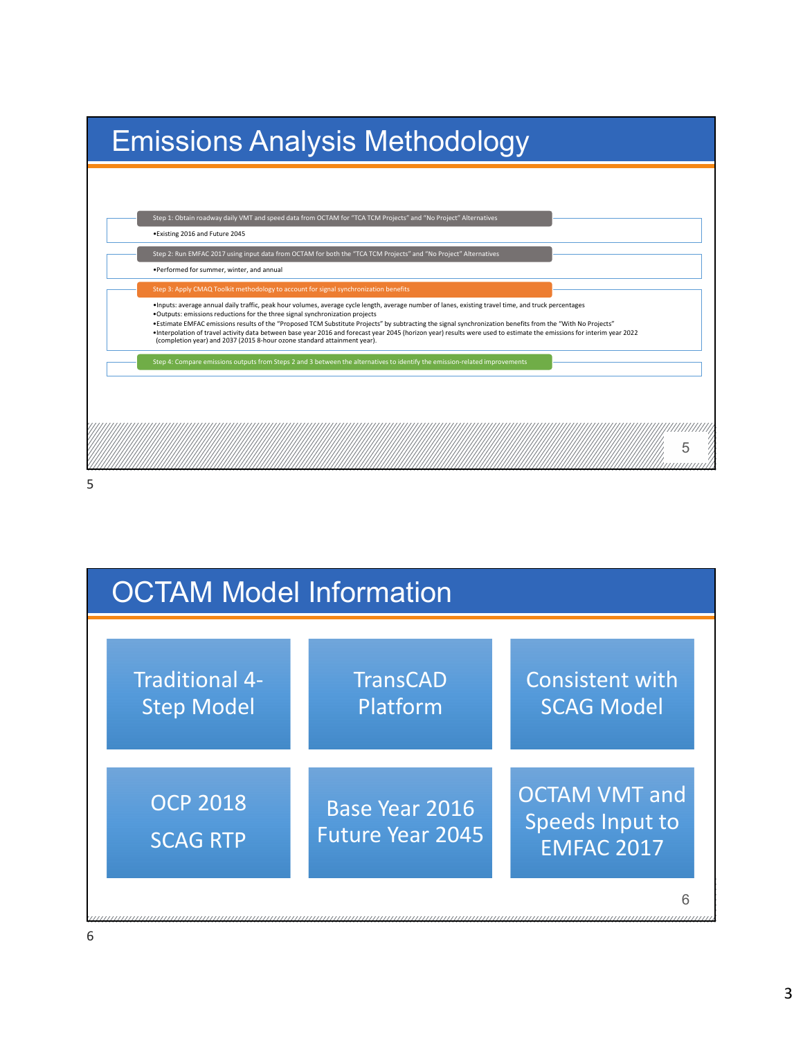| <b>Emissions Analysis Methodology</b>                                                                                                                                                                                                                                                                                                                                                                                                                                                                                                                                                                                                                      |  |  |  |  |  |  |  |  |
|------------------------------------------------------------------------------------------------------------------------------------------------------------------------------------------------------------------------------------------------------------------------------------------------------------------------------------------------------------------------------------------------------------------------------------------------------------------------------------------------------------------------------------------------------------------------------------------------------------------------------------------------------------|--|--|--|--|--|--|--|--|
|                                                                                                                                                                                                                                                                                                                                                                                                                                                                                                                                                                                                                                                            |  |  |  |  |  |  |  |  |
| Step 1: Obtain roadway daily VMT and speed data from OCTAM for "TCA TCM Projects" and "No Project" Alternatives<br>. Existing 2016 and Future 2045                                                                                                                                                                                                                                                                                                                                                                                                                                                                                                         |  |  |  |  |  |  |  |  |
| Step 2: Run EMFAC 2017 using input data from OCTAM for both the "TCA TCM Projects" and "No Project" Alternatives                                                                                                                                                                                                                                                                                                                                                                                                                                                                                                                                           |  |  |  |  |  |  |  |  |
| . Performed for summer, winter, and annual                                                                                                                                                                                                                                                                                                                                                                                                                                                                                                                                                                                                                 |  |  |  |  |  |  |  |  |
| Step 3: Apply CMAQ Toolkit methodology to account for signal synchronization benefits                                                                                                                                                                                                                                                                                                                                                                                                                                                                                                                                                                      |  |  |  |  |  |  |  |  |
| . Inputs: average annual daily traffic, peak hour volumes, average cycle length, average number of lanes, existing travel time, and truck percentages<br>. Outputs: emissions reductions for the three signal synchronization projects<br>. Estimate EMFAC emissions results of the "Proposed TCM Substitute Projects" by subtracting the signal synchronization benefits from the "With No Projects"<br>•Interpolation of travel activity data between base year 2016 and forecast year 2045 (horizon year) results were used to estimate the emissions for interim year 2022<br>(completion year) and 2037 (2015 8-hour ozone standard attainment year). |  |  |  |  |  |  |  |  |
| Step 4: Compare emissions outputs from Steps 2 and 3 between the alternatives to identify the emission-related improvements                                                                                                                                                                                                                                                                                                                                                                                                                                                                                                                                |  |  |  |  |  |  |  |  |
|                                                                                                                                                                                                                                                                                                                                                                                                                                                                                                                                                                                                                                                            |  |  |  |  |  |  |  |  |
|                                                                                                                                                                                                                                                                                                                                                                                                                                                                                                                                                                                                                                                            |  |  |  |  |  |  |  |  |
|                                                                                                                                                                                                                                                                                                                                                                                                                                                                                                                                                                                                                                                            |  |  |  |  |  |  |  |  |

5

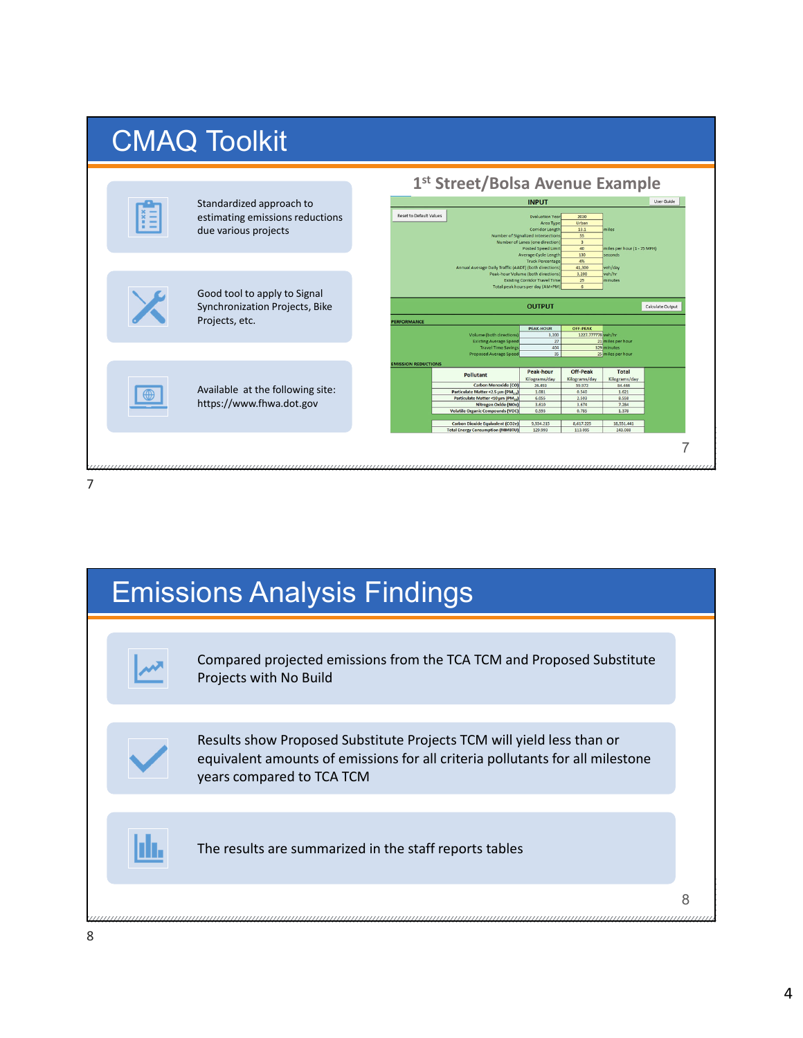